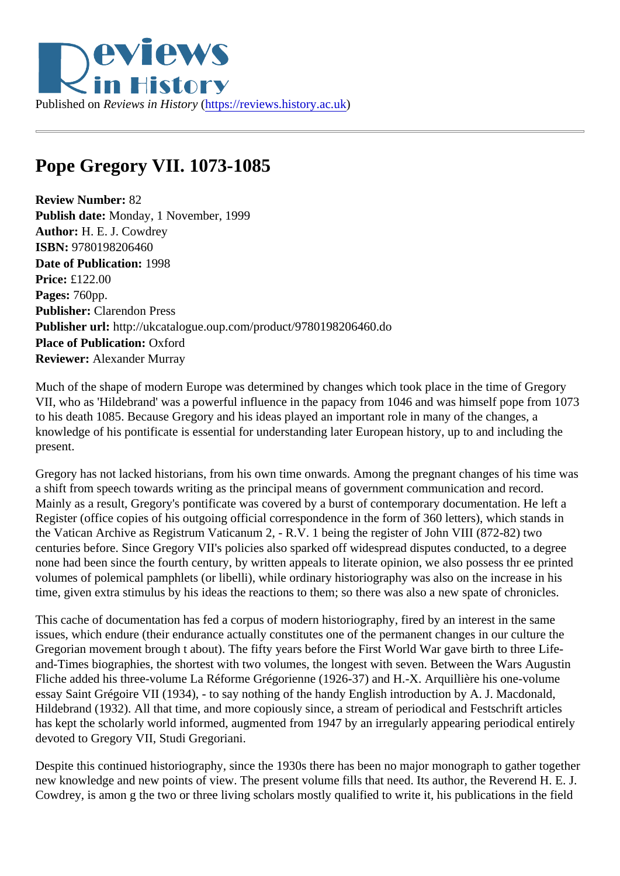## Pope Gregory VII. 1073-1085

Review Number: 82 Publish date: Monday, 1 November, 1999 Author: H. E. J. Cowdrey ISBN: 9780198206460 Date of Publication: 1998 Price: £122.00 Pages: 760pp. Publisher: Clarendon Press Publisher url: http://ukcatalogue.oup.com/product/9780198206460.do Place of Publication: Oxford Reviewer: Alexander Murray

Much of the shape of modern Europe was determined by changes which took place in the time of Gregory VII, who as 'Hildebrand' was a powerful influence in the papacy from 1046 and was himself pope from 107 to his death 1085. Because Gregory and his ideas played an important role in many of the changes, a knowledge of his pontificate is essential for understanding later European history, up to and including the present.

Gregory has not lacked historians, from his own time onwards. Among the pregnant changes of his time was a shift from speech towards writing as the principal means of government communication and record. Mainly as a result, Gregory's pontificate was covered by a burst of contemporary documentation. He left a Register (office copies of his outgoing official correspondence in the form of 360 letters), which stands in the Vatican Archive as Registrum Vaticanum 2, - R.V. 1 being the register of John VIII (872-82) two centuries before. Since Gregory VII's policies also sparked off widespread disputes conducted, to a degree none had been since the fourth century, by written appeals to literate opinion, we also possess thr ee print volumes of polemical pamphlets (or libelli), while ordinary historiography was also on the increase in his time, given extra stimulus by his ideas the reactions to them; so there was also a new spate of chronicles.

This cache of documentation has fed a corpus of modern historiography, fired by an interest in the same issues, which endure (their endurance actually constitutes one of the permanent changes in our culture the Gregorian movement brough t about). The fifty years before the First World War gave birth to three Lifeand-Times biographies, the shortest with two volumes, the longest with seven. Between the Wars Augusti Fliche added his three-volume La Réforme Grégorienne (1926-37) and H.-X. Arquillière his one-volume essay Saint Grégoire VII (1934), - to say nothing of the handy English introduction by A. J. Macdonald, Hildebrand (1932). All that time, and more copiously since, a stream of periodical and Festschrift articles has kept the scholarly world informed, augmented from 1947 by an irregularly appearing periodical entirely devoted to Gregory VII, Studi Gregoriani.

Despite this continued historiography, since the 1930s there has been no major monograph to gather together new knowledge and new points of view. The present volume fills that need. Its author, the Reverend H. E. Cowdrey, is amon g the two or three living scholars mostly qualified to write it, his publications in the field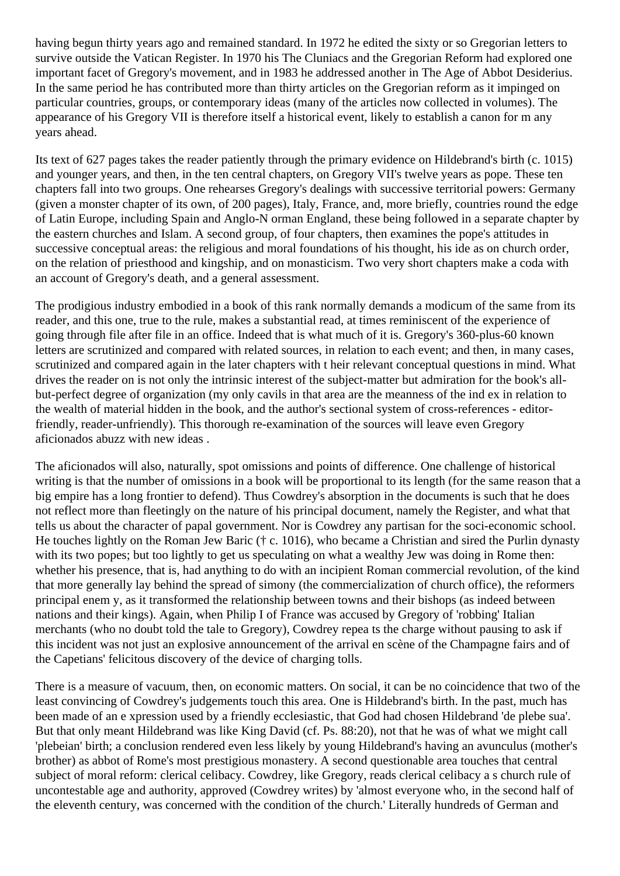having begun thirty years ago and remained standard. In 1972 he edited the sixty or so Gregorian letters to survive outside the Vatican Register. In 1970 his The Cluniacs and the Gregorian Reform had explored one important facet of Gregory's movement, and in 1983 he addressed another in The Age of Abbot Desiderius. In the same period he has contributed more than thirty articles on the Gregorian reform as it impinged on particular countries, groups, or contemporary ideas (many of the articles now collected in volumes). The appearance of his Gregory VII is therefore itself a historical event, likely to establish a canon for m any years ahead.

Its text of 627 pages takes the reader patiently through the primary evidence on Hildebrand's birth (c. 1015) and younger years, and then, in the ten central chapters, on Gregory VII's twelve years as pope. These ten chapters fall into two groups. One rehearses Gregory's dealings with successive territorial powers: Germany (given a monster chapter of its own, of 200 pages), Italy, France, and, more briefly, countries round the edge of Latin Europe, including Spain and Anglo-N orman England, these being followed in a separate chapter by the eastern churches and Islam. A second group, of four chapters, then examines the pope's attitudes in successive conceptual areas: the religious and moral foundations of his thought, his ide as on church order, on the relation of priesthood and kingship, and on monasticism. Two very short chapters make a coda with an account of Gregory's death, and a general assessment.

The prodigious industry embodied in a book of this rank normally demands a modicum of the same from its reader, and this one, true to the rule, makes a substantial read, at times reminiscent of the experience of going through file after file in an office. Indeed that is what much of it is. Gregory's 360-plus-60 known letters are scrutinized and compared with related sources, in relation to each event; and then, in many cases, scrutinized and compared again in the later chapters with t heir relevant conceptual questions in mind. What drives the reader on is not only the intrinsic interest of the subject-matter but admiration for the book's allbut-perfect degree of organization (my only cavils in that area are the meanness of the ind ex in relation to the wealth of material hidden in the book, and the author's sectional system of cross-references - editorfriendly, reader-unfriendly). This thorough re-examination of the sources will leave even Gregory aficionados abuzz with new ideas .

The aficionados will also, naturally, spot omissions and points of difference. One challenge of historical writing is that the number of omissions in a book will be proportional to its length (for the same reason that a big empire has a long frontier to defend). Thus Cowdrey's absorption in the documents is such that he does not reflect more than fleetingly on the nature of his principal document, namely the Register, and what that tells us about the character of papal government. Nor is Cowdrey any partisan for the soci-economic school. He touches lightly on the Roman Jew Baric († c. 1016), who became a Christian and sired the Purlin dynasty with its two popes; but too lightly to get us speculating on what a wealthy Jew was doing in Rome then: whether his presence, that is, had anything to do with an incipient Roman commercial revolution, of the kind that more generally lay behind the spread of simony (the commercialization of church office), the reformers principal enem y, as it transformed the relationship between towns and their bishops (as indeed between nations and their kings). Again, when Philip I of France was accused by Gregory of 'robbing' Italian merchants (who no doubt told the tale to Gregory), Cowdrey repea ts the charge without pausing to ask if this incident was not just an explosive announcement of the arrival en scène of the Champagne fairs and of the Capetians' felicitous discovery of the device of charging tolls.

There is a measure of vacuum, then, on economic matters. On social, it can be no coincidence that two of the least convincing of Cowdrey's judgements touch this area. One is Hildebrand's birth. In the past, much has been made of an e xpression used by a friendly ecclesiastic, that God had chosen Hildebrand 'de plebe sua'. But that only meant Hildebrand was like King David (cf. Ps. 88:20), not that he was of what we might call 'plebeian' birth; a conclusion rendered even less likely by young Hildebrand's having an avunculus (mother's brother) as abbot of Rome's most prestigious monastery. A second questionable area touches that central subject of moral reform: clerical celibacy. Cowdrey, like Gregory, reads clerical celibacy a s church rule of uncontestable age and authority, approved (Cowdrey writes) by 'almost everyone who, in the second half of the eleventh century, was concerned with the condition of the church.' Literally hundreds of German and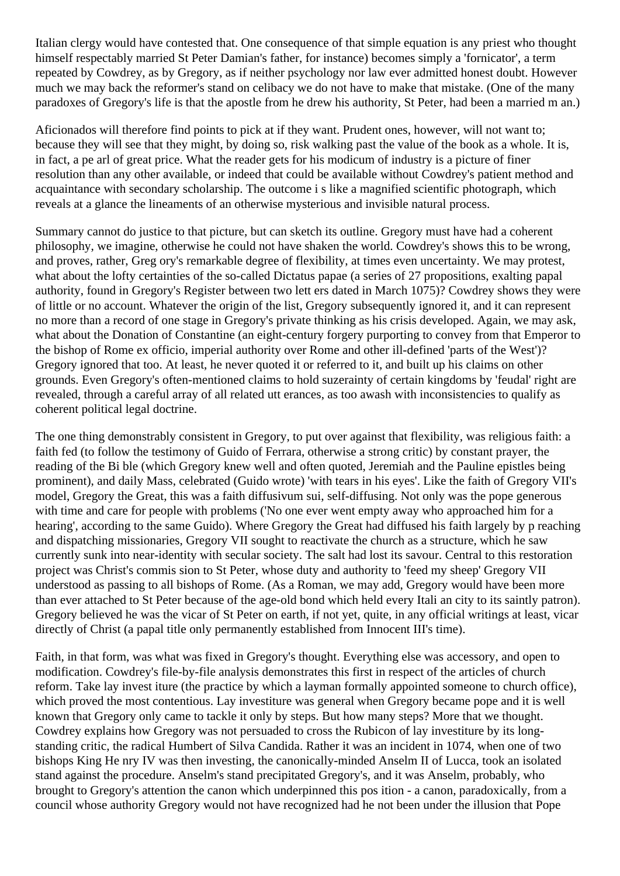Italian clergy would have contested that. One consequence of that simple equation is any priest who thought himself respectably married St Peter Damian's father, for instance) becomes simply a 'fornicator', a term repeated by Cowdrey, as by Gregory, as if neither psychology nor law ever admitted honest doubt. However much we may back the reformer's stand on celibacy we do not have to make that mistake. (One of the many paradoxes of Gregory's life is that the apostle from he drew his authority, St Peter, had been a married m an.)

Aficionados will therefore find points to pick at if they want. Prudent ones, however, will not want to; because they will see that they might, by doing so, risk walking past the value of the book as a whole. It is, in fact, a pe arl of great price. What the reader gets for his modicum of industry is a picture of finer resolution than any other available, or indeed that could be available without Cowdrey's patient method and acquaintance with secondary scholarship. The outcome i s like a magnified scientific photograph, which reveals at a glance the lineaments of an otherwise mysterious and invisible natural process.

Summary cannot do justice to that picture, but can sketch its outline. Gregory must have had a coherent philosophy, we imagine, otherwise he could not have shaken the world. Cowdrey's shows this to be wrong, and proves, rather, Greg ory's remarkable degree of flexibility, at times even uncertainty. We may protest, what about the lofty certainties of the so-called Dictatus papae (a series of 27 propositions, exalting papal authority, found in Gregory's Register between two lett ers dated in March 1075)? Cowdrey shows they were of little or no account. Whatever the origin of the list, Gregory subsequently ignored it, and it can represent no more than a record of one stage in Gregory's private thinking as his crisis developed. Again, we may ask, what about the Donation of Constantine (an eight-century forgery purporting to convey from that Emperor to the bishop of Rome ex officio, imperial authority over Rome and other ill-defined 'parts of the West')? Gregory ignored that too. At least, he never quoted it or referred to it, and built up his claims on other grounds. Even Gregory's often-mentioned claims to hold suzerainty of certain kingdoms by 'feudal' right are revealed, through a careful array of all related utt erances, as too awash with inconsistencies to qualify as coherent political legal doctrine.

The one thing demonstrably consistent in Gregory, to put over against that flexibility, was religious faith: a faith fed (to follow the testimony of Guido of Ferrara, otherwise a strong critic) by constant prayer, the reading of the Bi ble (which Gregory knew well and often quoted, Jeremiah and the Pauline epistles being prominent), and daily Mass, celebrated (Guido wrote) 'with tears in his eyes'. Like the faith of Gregory VII's model, Gregory the Great, this was a faith diffusivum sui, self-diffusing. Not only was the pope generous with time and care for people with problems ('No one ever went empty away who approached him for a hearing', according to the same Guido). Where Gregory the Great had diffused his faith largely by p reaching and dispatching missionaries, Gregory VII sought to reactivate the church as a structure, which he saw currently sunk into near-identity with secular society. The salt had lost its savour. Central to this restoration project was Christ's commis sion to St Peter, whose duty and authority to 'feed my sheep' Gregory VII understood as passing to all bishops of Rome. (As a Roman, we may add, Gregory would have been more than ever attached to St Peter because of the age-old bond which held every Itali an city to its saintly patron). Gregory believed he was the vicar of St Peter on earth, if not yet, quite, in any official writings at least, vicar directly of Christ (a papal title only permanently established from Innocent III's time).

Faith, in that form, was what was fixed in Gregory's thought. Everything else was accessory, and open to modification. Cowdrey's file-by-file analysis demonstrates this first in respect of the articles of church reform. Take lay invest iture (the practice by which a layman formally appointed someone to church office), which proved the most contentious. Lay investiture was general when Gregory became pope and it is well known that Gregory only came to tackle it only by steps. But how many steps? More that we thought. Cowdrey explains how Gregory was not persuaded to cross the Rubicon of lay investiture by its longstanding critic, the radical Humbert of Silva Candida. Rather it was an incident in 1074, when one of two bishops King He nry IV was then investing, the canonically-minded Anselm II of Lucca, took an isolated stand against the procedure. Anselm's stand precipitated Gregory's, and it was Anselm, probably, who brought to Gregory's attention the canon which underpinned this pos ition - a canon, paradoxically, from a council whose authority Gregory would not have recognized had he not been under the illusion that Pope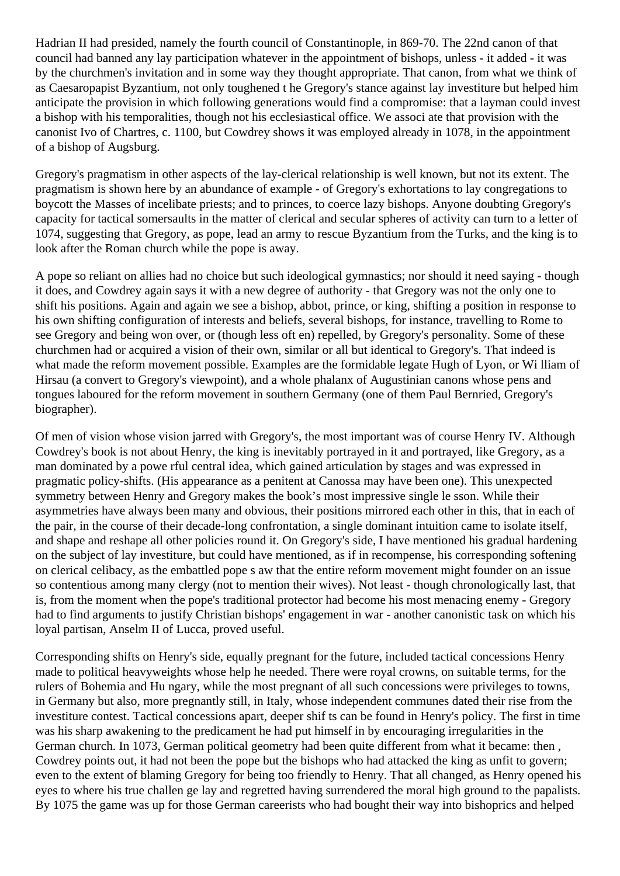Hadrian II had presided, namely the fourth council of Constantinople, in 869-70. The 22nd canon of that council had banned any lay participation whatever in the appointment of bishops, unless - it added - it was by the churchmen's invitation and in some way they thought appropriate. That canon, from what we think of as Caesaropapist Byzantium, not only toughened t he Gregory's stance against lay investiture but helped him anticipate the provision in which following generations would find a compromise: that a layman could invest a bishop with his temporalities, though not his ecclesiastical office. We associ ate that provision with the canonist Ivo of Chartres, c. 1100, but Cowdrey shows it was employed already in 1078, in the appointment of a bishop of Augsburg.

Gregory's pragmatism in other aspects of the lay-clerical relationship is well known, but not its extent. The pragmatism is shown here by an abundance of example - of Gregory's exhortations to lay congregations to boycott the Masses of incelibate priests; and to princes, to coerce lazy bishops. Anyone doubting Gregory's capacity for tactical somersaults in the matter of clerical and secular spheres of activity can turn to a letter of 1074, suggesting that Gregory, as pope, lead an army to rescue Byzantium from the Turks, and the king is to look after the Roman church while the pope is away.

A pope so reliant on allies had no choice but such ideological gymnastics; nor should it need saying - though it does, and Cowdrey again says it with a new degree of authority - that Gregory was not the only one to shift his positions. Again and again we see a bishop, abbot, prince, or king, shifting a position in response to his own shifting configuration of interests and beliefs, several bishops, for instance, travelling to Rome to see Gregory and being won over, or (though less oft en) repelled, by Gregory's personality. Some of these churchmen had or acquired a vision of their own, similar or all but identical to Gregory's. That indeed is what made the reform movement possible. Examples are the formidable legate Hugh of Lyon, or Wi lliam of Hirsau (a convert to Gregory's viewpoint), and a whole phalanx of Augustinian canons whose pens and tongues laboured for the reform movement in southern Germany (one of them Paul Bernried, Gregory's biographer).

Of men of vision whose vision jarred with Gregory's, the most important was of course Henry IV. Although Cowdrey's book is not about Henry, the king is inevitably portrayed in it and portrayed, like Gregory, as a man dominated by a powe rful central idea, which gained articulation by stages and was expressed in pragmatic policy-shifts. (His appearance as a penitent at Canossa may have been one). This unexpected symmetry between Henry and Gregory makes the book's most impressive single le sson. While their asymmetries have always been many and obvious, their positions mirrored each other in this, that in each of the pair, in the course of their decade-long confrontation, a single dominant intuition came to isolate itself, and shape and reshape all other policies round it. On Gregory's side, I have mentioned his gradual hardening on the subject of lay investiture, but could have mentioned, as if in recompense, his corresponding softening on clerical celibacy, as the embattled pope s aw that the entire reform movement might founder on an issue so contentious among many clergy (not to mention their wives). Not least - though chronologically last, that is, from the moment when the pope's traditional protector had become his most menacing enemy - Gregory had to find arguments to justify Christian bishops' engagement in war - another canonistic task on which his loyal partisan, Anselm II of Lucca, proved useful.

Corresponding shifts on Henry's side, equally pregnant for the future, included tactical concessions Henry made to political heavyweights whose help he needed. There were royal crowns, on suitable terms, for the rulers of Bohemia and Hu ngary, while the most pregnant of all such concessions were privileges to towns, in Germany but also, more pregnantly still, in Italy, whose independent communes dated their rise from the investiture contest. Tactical concessions apart, deeper shif ts can be found in Henry's policy. The first in time was his sharp awakening to the predicament he had put himself in by encouraging irregularities in the German church. In 1073, German political geometry had been quite different from what it became: then , Cowdrey points out, it had not been the pope but the bishops who had attacked the king as unfit to govern; even to the extent of blaming Gregory for being too friendly to Henry. That all changed, as Henry opened his eyes to where his true challen ge lay and regretted having surrendered the moral high ground to the papalists. By 1075 the game was up for those German careerists who had bought their way into bishoprics and helped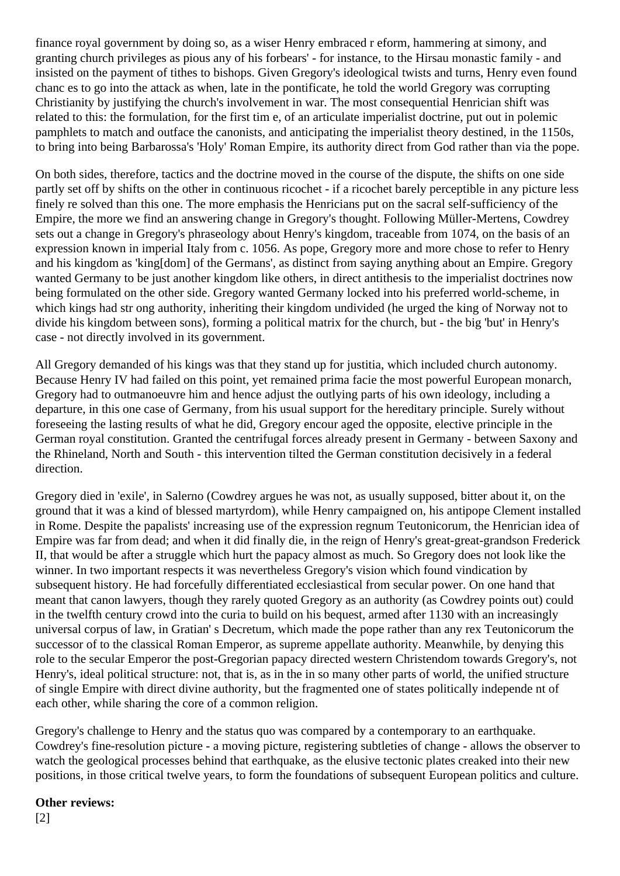finance royal government by doing so, as a wiser Henry embraced r eform, hammering at simony, and granting church privileges as pious any of his forbears' - for instance, to the Hirsau monastic family - and insisted on the payment of tithes to bishops. Given Gregory's ideological twists and turns, Henry even found chanc es to go into the attack as when, late in the pontificate, he told the world Gregory was corrupting Christianity by justifying the church's involvement in war. The most consequential Henrician shift was related to this: the formulation, for the first tim e, of an articulate imperialist doctrine, put out in polemic pamphlets to match and outface the canonists, and anticipating the imperialist theory destined, in the 1150s, to bring into being Barbarossa's 'Holy' Roman Empire, its authority direct from God rather than via the pope.

On both sides, therefore, tactics and the doctrine moved in the course of the dispute, the shifts on one side partly set off by shifts on the other in continuous ricochet - if a ricochet barely perceptible in any picture less finely re solved than this one. The more emphasis the Henricians put on the sacral self-sufficiency of the Empire, the more we find an answering change in Gregory's thought. Following Müller-Mertens, Cowdrey sets out a change in Gregory's phraseology about Henry's kingdom, traceable from 1074, on the basis of an expression known in imperial Italy from c. 1056. As pope, Gregory more and more chose to refer to Henry and his kingdom as 'king[dom] of the Germans', as distinct from saying anything about an Empire. Gregory wanted Germany to be just another kingdom like others, in direct antithesis to the imperialist doctrines now being formulated on the other side. Gregory wanted Germany locked into his preferred world-scheme, in which kings had str ong authority, inheriting their kingdom undivided (he urged the king of Norway not to divide his kingdom between sons), forming a political matrix for the church, but - the big 'but' in Henry's case - not directly involved in its government.

All Gregory demanded of his kings was that they stand up for justitia, which included church autonomy. Because Henry IV had failed on this point, yet remained prima facie the most powerful European monarch, Gregory had to outmanoeuvre him and hence adjust the outlying parts of his own ideology, including a departure, in this one case of Germany, from his usual support for the hereditary principle. Surely without foreseeing the lasting results of what he did, Gregory encour aged the opposite, elective principle in the German royal constitution. Granted the centrifugal forces already present in Germany - between Saxony and the Rhineland, North and South - this intervention tilted the German constitution decisively in a federal direction.

Gregory died in 'exile', in Salerno (Cowdrey argues he was not, as usually supposed, bitter about it, on the ground that it was a kind of blessed martyrdom), while Henry campaigned on, his antipope Clement installed in Rome. Despite the papalists' increasing use of the expression regnum Teutonicorum, the Henrician idea of Empire was far from dead; and when it did finally die, in the reign of Henry's great-great-grandson Frederick II, that would be after a struggle which hurt the papacy almost as much. So Gregory does not look like the winner. In two important respects it was nevertheless Gregory's vision which found vindication by subsequent history. He had forcefully differentiated ecclesiastical from secular power. On one hand that meant that canon lawyers, though they rarely quoted Gregory as an authority (as Cowdrey points out) could in the twelfth century crowd into the curia to build on his bequest, armed after 1130 with an increasingly universal corpus of law, in Gratian' s Decretum, which made the pope rather than any rex Teutonicorum the successor of to the classical Roman Emperor, as supreme appellate authority. Meanwhile, by denying this role to the secular Emperor the post-Gregorian papacy directed western Christendom towards Gregory's, not Henry's, ideal political structure: not, that is, as in the in so many other parts of world, the unified structure of single Empire with direct divine authority, but the fragmented one of states politically independe nt of each other, while sharing the core of a common religion.

Gregory's challenge to Henry and the status quo was compared by a contemporary to an earthquake. Cowdrey's fine-resolution picture - a moving picture, registering subtleties of change - allows the observer to watch the geological processes behind that earthquake, as the elusive tectonic plates creaked into their new positions, in those critical twelve years, to form the foundations of subsequent European politics and culture.

**Other reviews:**  [2]